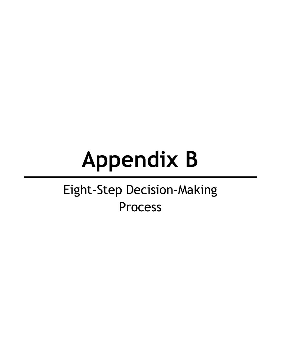# **Appendix B**

## Eight-Step Decision-Making Process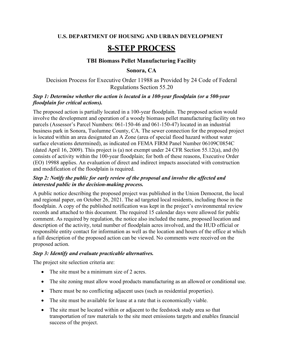#### **U.S. DEPARTMENT OF HOUSING AND URBAN DEVELOPMENT**

### **8-STEP PROCESS**

#### **TBI Biomass Pellet Manufacturing Facility**

#### **Sonora, CA**

Decision Process for Executive Order 11988 as Provided by 24 Code of Federal Regulations Section 55.20

#### *Step 1: Determine whether the action is located in a 100-year floodplain (or a 500-year floodplain for critical actions).*

The proposed action is partially located in a 100-year floodplain. The proposed action would involve the development and operation of a woody biomass pellet manufacturing facility on two parcels (Assessor's Parcel Numbers: 061-150-46 and 061-150-47) located in an industrial business park in Sonora, Tuolumne County, CA. The sewer connection for the proposed project is located within an area designated an A Zone (area of special flood hazard without water surface elevations determined), as indicated on FEMA FIRM Panel Number 06109C0854C (dated April 16, 2009). This project is (a) not exempt under 24 CFR Section 55.12(a), and (b) consists of activity within the 100-year floodplain; for both of these reasons, Executive Order (EO) 19988 applies. An evaluation of direct and indirect impacts associated with construction and modification of the floodplain is required.

#### *Step 2: Notify the public for early review of the proposal and involve the affected and interested public in the decision-making process.*

A public notice describing the proposed project was published in the Union Democrat, the local and regional paper, on October 26, 2021. The ad targeted local residents, including those in the floodplain. A copy of the published notification was kept in the project's environmental review records and attached to this document. The required 15 calendar days were allowed for public comment. As required by regulation, the notice also included the name, proposed location and description of the activity, total number of floodplain acres involved, and the HUD official or responsible entity contact for information as well as the location and hours of the office at which a full description of the proposed action can be viewed. No comments were received on the proposed action.

#### *Step 3: Identify and evaluate practicable alternatives.*

The project site selection criteria are:

- The site must be a minimum size of 2 acres.
- The site zoning must allow wood products manufacturing as an allowed or conditional use.
- There must be no conflicting adjacent uses (such as residential properties).
- The site must be available for lease at a rate that is economically viable.
- The site must be located within or adjacent to the feedstock study area so that transportation of raw materials to the site meet emissions targets and enables financial success of the project.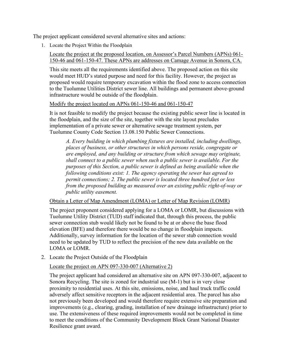The project applicant considered several alternative sites and actions:

1. Locate the Project Within the Floodplain

Locate the project at the proposed location, on Assessor's Parcel Numbers (APNs) 061- 150-46 and 061-150-47. These APNs are addresses on Camage Avenue in Sonora, CA.

This site meets all the requirements identified above. The proposed action on this site would meet HUD's stated purpose and need for this facility. However, the project as proposed would require temporary excavation within the flood zone to access connection to the Tuolumne Utilities District sewer line. All buildings and permanent above-ground infrastructure would be outside of the floodplain.

#### Modify the project located on APNs 061-150-46 and 061-150-47

It is not feasible to modify the project because the existing public sewer line is located in the floodplain, and the size of the site, together with the site layout precludes implementation of a private sewer or alternative sewage treatment system, per Tuolumne County Code Section 13.08.150 Public Sewer Connections.

*A. Every building in which plumbing fixtures are installed, including dwellings, places of business, or other structures in which persons reside, congregate or are employed, and any building or structure from which sewage may originate, shall connect to a public sewer when such a public sewer is available. For the purposes of this Section, a public sewer is defined as being available when the following conditions exist: 1. The agency operating the sewer has agreed to permit connections; 2. The public sewer is located three hundred feet or less from the proposed building as measured over an existing public right-of-way or public utility easement.*

#### Obtain a Letter of Map Amendment (LOMA) or Letter of Map Revision (LOMR)

The project proponent considered applying for a LOMA or LOMR, but discussions with Tuolumne Utility District (TUD) staff indicated that, through this process, the public sewer connection stub would likely not be found to be at or above the base flood elevation (BFE) and therefore there would be no change in floodplain impacts. Additionally, survey information for the location of the sewer stub connection would need to be updated by TUD to reflect the precision of the new data available on the LOMA or LOMR.

2. Locate the Project Outside of the Floodplain

#### Locate the project on APN 097-330-007 (Alternative 2)

The project applicant had considered an alternative site on APN 097-330-007, adjacent to Sonora Recycling. The site is zoned for industrial use (M-1) but is in very close proximity to residential uses. At this site, emissions, noise, and haul truck traffic could adversely affect sensitive receptors in the adjacent residential area. The parcel has also not previously been developed and would therefore require extensive site preparation and improvements (e.g., clearing, grading, installation of new drainage infrastructure) prior to use. The extensiveness of these required improvements would not be completed in time to meet the conditions of the Community Development Block Grant National Disaster Resilience grant award.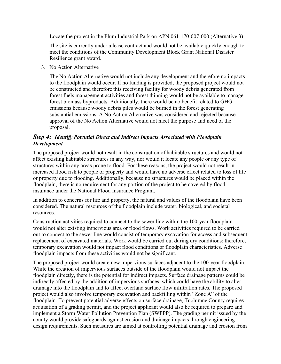Locate the project in the Plum Industrial Park on APN 061-170-007-000 (Alternative 3)

The site is currently under a lease contract and would not be available quickly enough to meet the conditions of the Community Development Block Grant National Disaster Resilience grant award.

3. No Action Alternative

The No Action Alternative would not include any development and therefore no impacts to the floodplain would occur. If no funding is provided, the proposed project would not be constructed and therefore this receiving facility for woody debris generated from forest fuels management activities and forest thinning would not be available to manage forest biomass byproducts. Additionally, there would be no benefit related to GHG emissions because woody debris piles would be burned in the forest generating substantial emissions. A No Action Alternative was considered and rejected because approval of the No Action Alternative would not meet the purpose and need of the proposal.

#### *Step 4: Identify Potential Direct and Indirect Impacts Associated with Floodplain Development.*

The proposed project would not result in the construction of habitable structures and would not affect existing habitable structures in any way, nor would it locate any people or any type of structures within any areas prone to flood. For these reasons, the project would not result in increased flood risk to people or property and would have no adverse effect related to loss of life or property due to flooding. Additionally, because no structures would be placed within the floodplain, there is no requirement for any portion of the project to be covered by flood insurance under the National Flood Insurance Program.

In addition to concerns for life and property, the natural and values of the floodplain have been considered. The natural resources of the floodplain include water, biological, and societal resources.

Construction activities required to connect to the sewer line within the 100-year floodplain would not alter existing impervious area or flood flows. Work activities required to be carried out to connect to the sewer line would consist of temporary excavation for access and subsequent replacement of excavated materials. Work would be carried out during dry conditions; therefore, temporary excavation would not impact flood conditions or floodplain characteristics. Adverse floodplain impacts from these activities would not be significant.

The proposed project would create new impervious surfaces adjacent to the 100-year floodplain. While the creation of impervious surfaces outside of the floodplain would not impact the floodplain directly, there is the potential for indirect impacts. Surface drainage patterns could be indirectly affected by the addition of impervious surfaces, which could have the ability to alter drainage into the floodplain and to affect overland surface flow infiltration rates. The proposed project would also involve temporary excavation and backfilling within "Zone A" of the floodplain. To prevent potential adverse effects on surface drainage, Tuolumne County requires acquisition of a grading permit, and the project applicant would also be required to prepare and implement a Storm Water Pollution Prevention Plan (SWPPP). The grading permit issued by the county would provide safeguards against erosion and drainage impacts through engineering design requirements. Such measures are aimed at controlling potential drainage and erosion from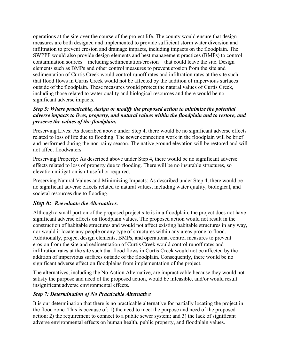operations at the site over the course of the project life. The county would ensure that design measures are both designed and implemented to provide sufficient storm water diversion and infiltration to prevent erosion and drainage impacts, including impacts on the floodplain. The SWPPP would also provide design elements and best management practices (BMPs) to control contamination sources—including sedimentation/erosion—that could leave the site. Design elements such as BMPs and other control measures to prevent erosion from the site and sedimentation of Curtis Creek would control runoff rates and infiltration rates at the site such that flood flows in Curtis Creek would not be affected by the addition of impervious surfaces outside of the floodplain. These measures would protect the natural values of Curtis Creek, including those related to water quality and biological resources and there would be no significant adverse impacts.

#### *Step 5: Where practicable, design or modify the proposed action to minimize the potential adverse impacts to lives, property, and natural values within the floodplain and to restore, and preserve the values of the floodplain.*

Preserving Lives: As described above under Step 4, there would be no significant adverse effects related to loss of life due to flooding. The sewer connection work in the floodplain will be brief and performed during the non-rainy season. The native ground elevation will be restored and will not affect floodwaters.

Preserving Property: As described above under Step 4, there would be no significant adverse effects related to loss of property due to flooding. There will be no insurable structures, so elevation mitigation isn't useful or required.

Preserving Natural Values and Minimizing Impacts: As described under Step 4, there would be no significant adverse effects related to natural values, including water quality, biological, and societal resources due to flooding.

#### *Step 6: Reevaluate the Alternatives.*

Although a small portion of the proposed project site is in a floodplain, the project does not have significant adverse effects on floodplain values. The proposed action would not result in the construction of habitable structures and would not affect existing habitable structures in any way, nor would it locate any people or any type of structures within any areas prone to flood. Additionally, project design elements, BMPs, and operational control measures to prevent erosion from the site and sedimentation of Curtis Creek would control runoff rates and infiltration rates at the site such that flood flows in Curtis Creek would not be affected by the addition of impervious surfaces outside of the floodplain. Consequently, there would be no significant adverse effect on floodplains from implementation of the project.

The alternatives, including the No Action Alternative, are impracticable because they would not satisfy the purpose and need of the proposed action, would be infeasible, and/or would result insignificant adverse environmental effects.

#### *Step 7: Determination of No Practicable Alternative*

It is our determination that there is no practicable alternative for partially locating the project in the flood zone. This is because of: 1) the need to meet the purpose and need of the proposed action; 2) the requirement to connect to a public sewer system; and 3) the lack of significant adverse environmental effects on human health, public property, and floodplain values.